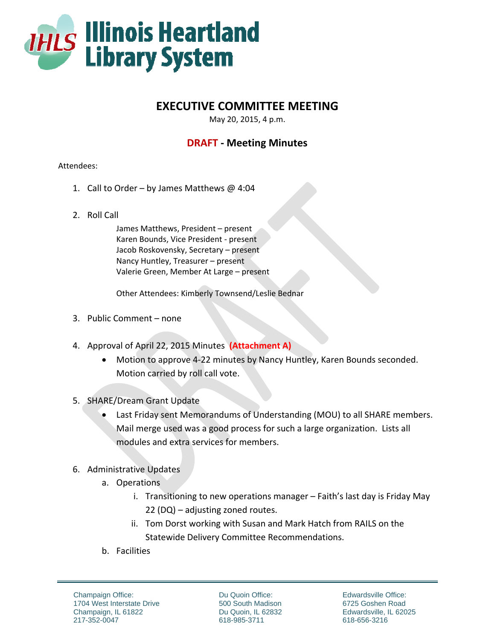

## **EXECUTIVE COMMITTEE MEETING**

May 20, 2015, 4 p.m.

## **DRAFT ‐ Meeting Minutes**

## Attendees:

- 1. Call to Order by James Matthews  $\omega$  4:04
- 2. Roll Call

James Matthews, President – present Karen Bounds, Vice President ‐ present Jacob Roskovensky, Secretary – present Nancy Huntley, Treasurer – present Valerie Green, Member At Large – present

Other Attendees: Kimberly Townsend/Leslie Bednar

- 3. Public Comment none
- 4. Approval of April 22, 2015 Minutes **(Attachment A)**
	- Motion to approve 4-22 minutes by Nancy Huntley, Karen Bounds seconded. Motion carried by roll call vote.
- 5. SHARE/Dream Grant Update
	- Last Friday sent Memorandums of Understanding (MOU) to all SHARE members. Mail merge used was a good process for such a large organization. Lists all modules and extra services for members.
- 6. Administrative Updates
	- a. Operations
		- i. Transitioning to new operations manager Faith's last day is Friday May 22 (DQ) – adjusting zoned routes.
		- ii. Tom Dorst working with Susan and Mark Hatch from RAILS on the Statewide Delivery Committee Recommendations.
	- b. Facilities

Champaign Office: 1704 West Interstate Drive Champaign, IL 61822 217-352-0047

Du Quoin Office: 500 South Madison Du Quoin, IL 62832 618-985-3711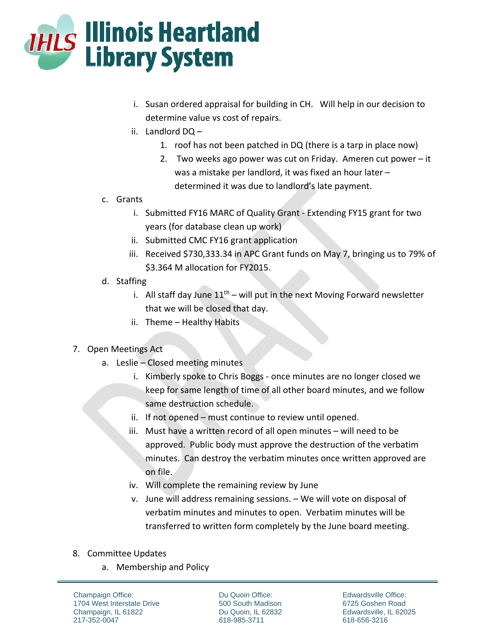

- i. Susan ordered appraisal for building in CH. Will help in our decision to determine value vs cost of repairs.
- ii. Landlord DQ
	- 1. roof has not been patched in DQ (there is a tarp in place now)
	- 2. Two weeks ago power was cut on Friday. Ameren cut power it was a mistake per landlord, it was fixed an hour later – determined it was due to landlord's late payment.
- c. Grants
	- i. Submitted FY16 MARC of Quality Grant ‐ Extending FY15 grant for two years (for database clean up work)
	- ii. Submitted CMC FY16 grant application
	- iii. Received \$730,333.34 in APC Grant funds on May 7, bringing us to 79% of \$3.364 M allocation for FY2015.
- d. Staffing
	- i. All staff day June  $11<sup>th</sup>$  will put in the next Moving Forward newsletter that we will be closed that day.
	- ii. Theme Healthy Habits

## 7. Open Meetings Act

- a. Leslie Closed meeting minutes
	- i. Kimberly spoke to Chris Boggs ‐ once minutes are no longer closed we keep for same length of time of all other board minutes, and we follow same destruction schedule.
	- ii. If not opened must continue to review until opened.
	- iii. Must have a written record of all open minutes will need to be approved. Public body must approve the destruction of the verbatim minutes. Can destroy the verbatim minutes once written approved are on file.
	- iv. Will complete the remaining review by June
	- v. June will address remaining sessions. We will vote on disposal of verbatim minutes and minutes to open. Verbatim minutes will be transferred to written form completely by the June board meeting.
- 8. Committee Updates
	- a. Membership and Policy

Champaign Office: 1704 West Interstate Drive Champaign, IL 61822 217-352-0047

Du Quoin Office: 500 South Madison Du Quoin, IL 62832 618-985-3711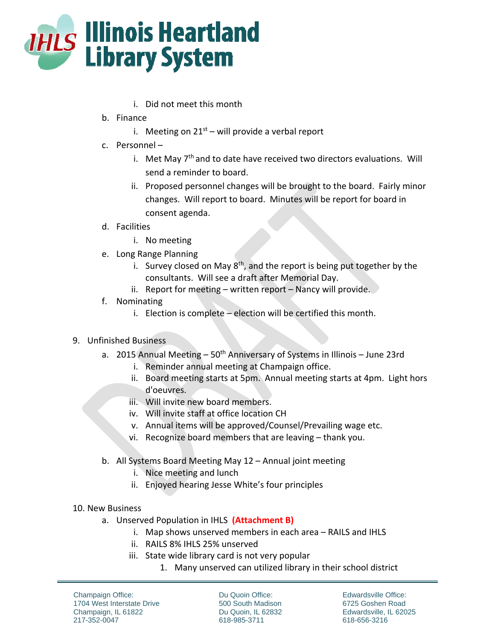

- i. Did not meet this month
- b. Finance
	- i. Meeting on  $21^{st}$  will provide a verbal report
- c. Personnel
	- i. Met May  $7<sup>th</sup>$  and to date have received two directors evaluations. Will send a reminder to board.
	- ii. Proposed personnel changes will be brought to the board. Fairly minor changes. Will report to board. Minutes will be report for board in consent agenda.
- d. Facilities
	- i. No meeting
- e. Long Range Planning
	- i. Survey closed on May  $8<sup>th</sup>$ , and the report is being put together by the consultants. Will see a draft after Memorial Day.
	- ii. Report for meeting written report Nancy will provide.
- f. Nominating
	- i. Election is complete election will be certified this month.
- 9. Unfinished Business
	- a. 2015 Annual Meeting  $-50<sup>th</sup>$  Anniversary of Systems in Illinois June 23rd
		- i. Reminder annual meeting at Champaign office.
		- ii. Board meeting starts at 5pm. Annual meeting starts at 4pm. Light hors d'oeuvres.
		- iii. Will invite new board members.
		- iv. Will invite staff at office location CH
		- v. Annual items will be approved/Counsel/Prevailing wage etc.
		- vi. Recognize board members that are leaving thank you.
	- b. All Systems Board Meeting May 12 Annual joint meeting
		- i. Nice meeting and lunch
		- ii. Enjoyed hearing Jesse White's four principles
- 10. New Business
	- a. Unserved Population in IHLS **(Attachment B)**
		- i. Map shows unserved members in each area RAILS and IHLS
		- ii. RAILS 8% IHLS 25% unserved
		- iii. State wide library card is not very popular
			- 1. Many unserved can utilized library in their school district

Champaign Office: 1704 West Interstate Drive Champaign, IL 61822 217-352-0047

Du Quoin Office: 500 South Madison Du Quoin, IL 62832 618-985-3711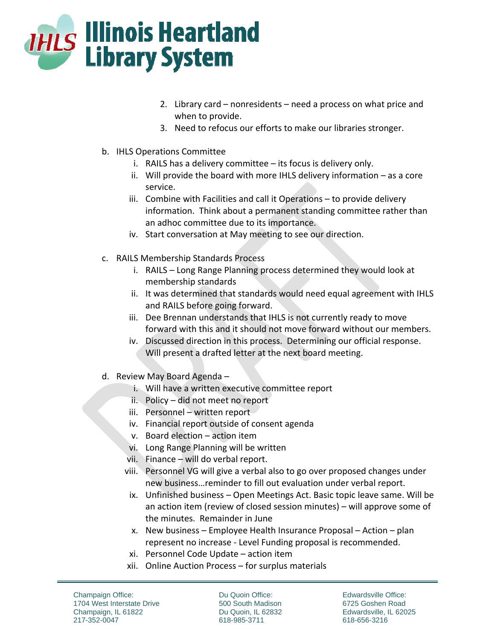

- 2. Library card nonresidents need a process on what price and when to provide.
- 3. Need to refocus our efforts to make our libraries stronger.
- b. IHLS Operations Committee
	- i. RAILS has a delivery committee its focus is delivery only.
	- ii. Will provide the board with more IHLS delivery information as a core service.
	- iii. Combine with Facilities and call it Operations to provide delivery information. Think about a permanent standing committee rather than an adhoc committee due to its importance.
	- iv. Start conversation at May meeting to see our direction.
- c. RAILS Membership Standards Process
	- i. RAILS Long Range Planning process determined they would look at membership standards
	- ii. It was determined that standards would need equal agreement with IHLS and RAILS before going forward.
	- iii. Dee Brennan understands that IHLS is not currently ready to move forward with this and it should not move forward without our members.
	- iv. Discussed direction in this process. Determining our official response. Will present a drafted letter at the next board meeting.
- d. Review May Board Agenda
	- i. Will have a written executive committee report
	- ii. Policy did not meet no report
	- iii. Personnel written report
	- iv. Financial report outside of consent agenda
	- v. Board election action item
	- vi. Long Range Planning will be written
	- vii. Finance will do verbal report.
	- viii. Personnel VG will give a verbal also to go over proposed changes under new business…reminder to fill out evaluation under verbal report.
	- ix. Unfinished business Open Meetings Act. Basic topic leave same. Will be an action item (review of closed session minutes) – will approve some of the minutes. Remainder in June
	- x. New business Employee Health Insurance Proposal Action plan represent no increase ‐ Level Funding proposal is recommended.
	- xi. Personnel Code Update action item
	- xii. Online Auction Process for surplus materials

Champaign Office: 1704 West Interstate Drive Champaign, IL 61822 217-352-0047

Du Quoin Office: 500 South Madison Du Quoin, IL 62832 618-985-3711